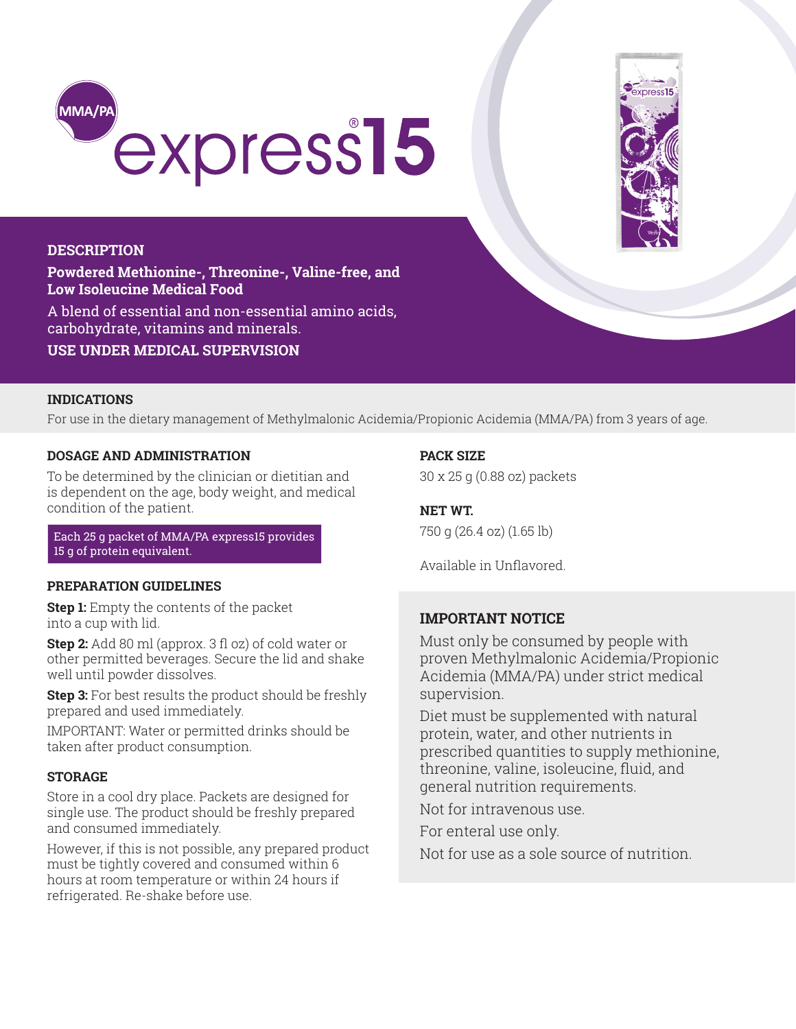



### **DESCRIPTION**

**Powdered Methionine-, Threonine-, Valine-free, and Low Isoleucine Medical Food** 

A blend of essential and non-essential amino acids, carbohydrate, vitamins and minerals.

**USE UNDER MEDICAL SUPERVISION**

### **INDICATIONS**

For use in the dietary management of Methylmalonic Acidemia/Propionic Acidemia (MMA/PA) from 3 years of age.

### **DOSAGE AND ADMINISTRATION**

To be determined by the clinician or dietitian and is dependent on the age, body weight, and medical condition of the patient.

Each 25 g packet of MMA/PA express15 provides 15 g of protein equivalent.

## **PREPARATION GUIDELINES**

**Step 1:** Empty the contents of the packet into a cup with lid.

**Step 2:** Add 80 ml (approx. 3 fl oz) of cold water or other permitted beverages. Secure the lid and shake well until powder dissolves.

**Step 3:** For best results the product should be freshly prepared and used immediately.

IMPORTANT: Water or permitted drinks should be taken after product consumption.

## **STORAGE**

Store in a cool dry place. Packets are designed for single use. The product should be freshly prepared and consumed immediately.

However, if this is not possible, any prepared product must be tightly covered and consumed within 6 hours at room temperature or within 24 hours if refrigerated. Re-shake before use.

## **PACK SIZE**

30 x 25 g (0.88 oz) packets

**NET WT.** 750 g (26.4 oz) (1.65 lb)

Available in Unflavored.

# **IMPORTANT NOTICE**

Must only be consumed by people with proven Methylmalonic Acidemia/Propionic Acidemia (MMA/PA) under strict medical supervision.

Diet must be supplemented with natural protein, water, and other nutrients in prescribed quantities to supply methionine, threonine, valine, isoleucine, fluid, and general nutrition requirements.

Not for intravenous use.

For enteral use only.

Not for use as a sole source of nutrition.